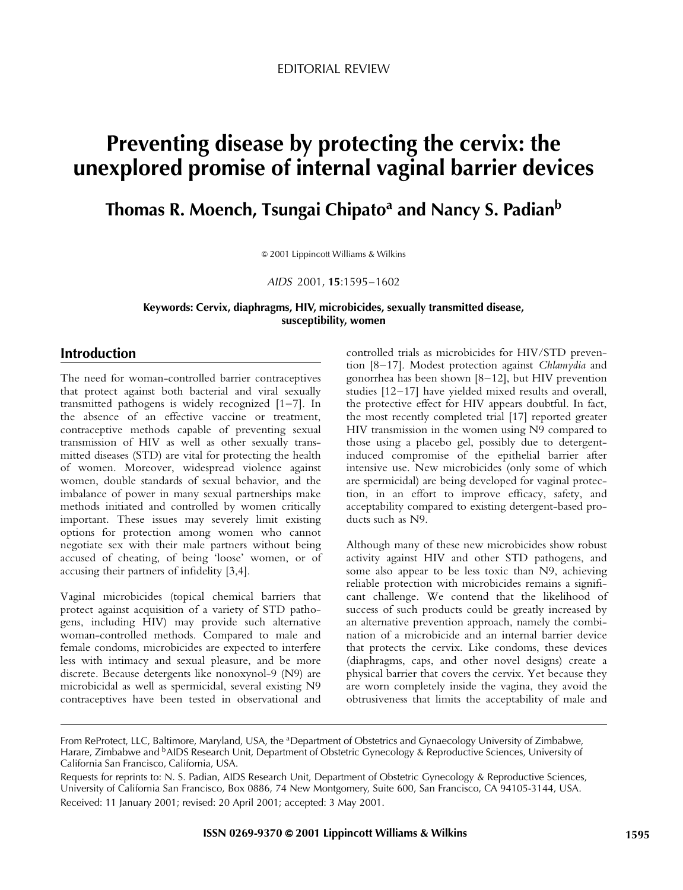EDITORIAL REVIEW

# Preventing disease by protecting the cervix: the unexplored promise of internal vaginal barrier devices

# Thomas R. Moench, Tsungai Chipato<sup>a</sup> and Nancy S. Padian<sup>b</sup>

& 2001 Lippincott Williams & Wilkins

AIDS 2001, 15:1595-1602

#### Keywords: Cervix, diaphragms, HIV, microbicides, sexually transmitted disease, susceptibility, women

# Introduction

The need for woman-controlled barrier contraceptives that protect against both bacterial and viral sexually transmitted pathogens is widely recognized  $[1-7]$ . In the absence of an effective vaccine or treatment, contraceptive methods capable of preventing sexual transmission of HIV as well as other sexually transmitted diseases (STD) are vital for protecting the health of women. Moreover, widespread violence against women, double standards of sexual behavior, and the imbalance of power in many sexual partnerships make methods initiated and controlled by women critically important. These issues may severely limit existing options for protection among women who cannot negotiate sex with their male partners without being accused of cheating, of being `loose' women, or of accusing their partners of infidelity [\[3,4\]](#page-5-0).

Vaginal microbicides (topical chemical barriers that protect against acquisition of a variety of STD pathogens, including HIV) may provide such alternative woman-controlled methods. Compared to male and female condoms, microbicides are expected to interfere less with intimacy and sexual pleasure, and be more discrete. Because detergents like nonoxynol-9 (N9) are microbicidal as well as spermicidal, several existing N9 contraceptives have been tested in observational and

controlled trials as microbicides for HIV/STD prevention  $[8-17]$ . Modest protection against Chlamydia and gonorrhea has been shown  $[8-12]$ , but HIV prevention studies  $[12-17]$  have yielded mixed results and overall, the protective effect for HIV appears doubtful. In fact, the most recently completed trial [\[17\]](#page-6-0) reported greater HIV transmission in the women using N9 compared to those using a placebo gel, possibly due to detergentinduced compromise of the epithelial barrier after intensive use. New microbicides (only some of which are spermicidal) are being developed for vaginal protection, in an effort to improve efficacy, safety, and acceptability compared to existing detergent-based products such as N9.

Although many of these new microbicides show robust activity against HIV and other STD pathogens, and some also appear to be less toxic than N9, achieving reliable protection with microbicides remains a significant challenge. We contend that the likelihood of success of such products could be greatly increased by an alternative prevention approach, namely the combination of a microbicide and an internal barrier device that protects the cervix. Like condoms, these devices (diaphragms, caps, and other novel designs) create a physical barrier that covers the cervix. Yet because they are worn completely inside the vagina, they avoid the obtrusiveness that limits the acceptability of male and

From ReProtect, LLC, Baltimore, Maryland, USA, the <sup>a</sup>Department of Obstetrics and Gynaecology University of Zimbabwe, Harare, Zimbabwe and <sup>b</sup>AIDS Research Unit, Department of Obstetric Gynecology & Reproductive Sciences, University of California San Francisco, California, USA.

Requests for reprints to: N. S. Padian, AIDS Research Unit, Department of Obstetric Gynecology & Reproductive Sciences, University of California San Francisco, Box 0886, 74 New Montgomery, Suite 600, San Francisco, CA 94105-3144, USA. Received: 11 January 2001; revised: 20 April 2001; accepted: 3 May 2001.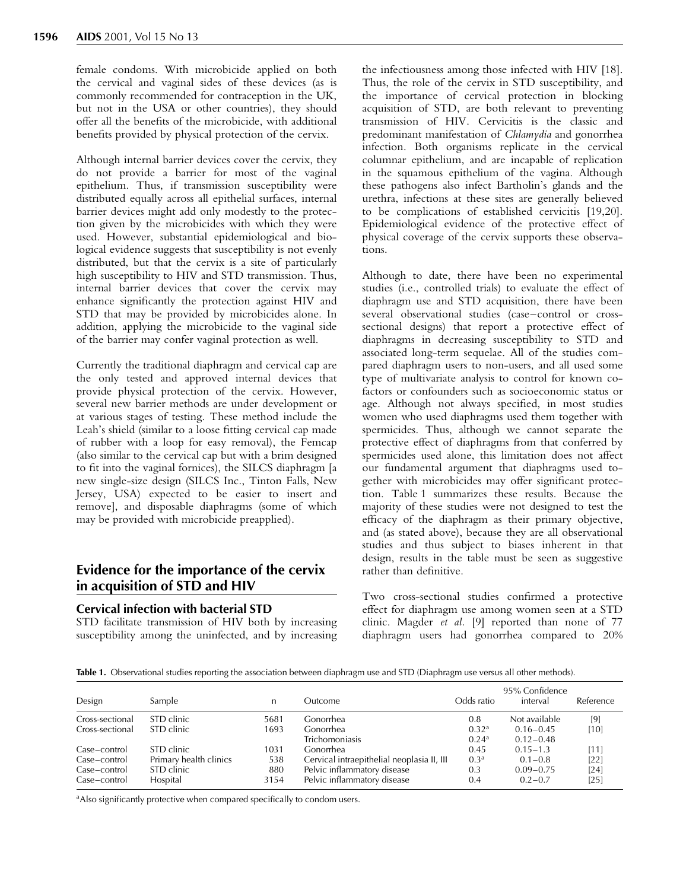female condoms. With microbicide applied on both the cervical and vaginal sides of these devices (as is commonly recommended for contraception in the UK, but not in the USA or other countries), they should offer all the benefits of the microbicide, with additional benefits provided by physical protection of the cervix.

Although internal barrier devices cover the cervix, they do not provide a barrier for most of the vaginal epithelium. Thus, if transmission susceptibility were distributed equally across all epithelial surfaces, internal barrier devices might add only modestly to the protection given by the microbicides with which they were used. However, substantial epidemiological and biological evidence suggests that susceptibility is not evenly distributed, but that the cervix is a site of particularly high susceptibility to HIV and STD transmission. Thus, internal barrier devices that cover the cervix may enhance significantly the protection against HIV and STD that may be provided by microbicides alone. In addition, applying the microbicide to the vaginal side of the barrier may confer vaginal protection as well.

Currently the traditional diaphragm and cervical cap are the only tested and approved internal devices that provide physical protection of the cervix. However, several new barrier methods are under development or at various stages of testing. These method include the Leah's shield (similar to a loose fitting cervical cap made of rubber with a loop for easy removal), the Femcap (also similar to the cervical cap but with a brim designed to fit into the vaginal fornices), the SILCS diaphragm [a new single-size design (SILCS Inc., Tinton Falls, New Jersey, USA) expected to be easier to insert and remove], and disposable diaphragms (some of which may be provided with microbicide preapplied).

# Evidence for the importance of the cervix in acquisition of STD and HIV

#### Cervical infection with bacterial STD

STD facilitate transmission of HIV both by increasing susceptibility among the uninfected, and by increasing the infectiousness among those infected with HIV [\[18\].](#page-6-0) Thus, the role of the cervix in STD susceptibility, and the importance of cervical protection in blocking acquisition of STD, are both relevant to preventing transmission of HIV. Cervicitis is the classic and predominant manifestation of Chlamydia and gonorrhea infection. Both organisms replicate in the cervical columnar epithelium, and are incapable of replication in the squamous epithelium of the vagina. Although these pathogens also infect Bartholin's glands and the urethra, infections at these sites are generally believed to be complications of established cervicitis [\[19,20\].](#page-6-0) Epidemiological evidence of the protective effect of physical coverage of the cervix supports these observations.

Although to date, there have been no experimental studies (i.e., controlled trials) to evaluate the effect of diaphragm use and STD acquisition, there have been several observational studies (case-control or crosssectional designs) that report a protective effect of diaphragms in decreasing susceptibility to STD and associated long-term sequelae. All of the studies compared diaphragm users to non-users, and all used some type of multivariate analysis to control for known cofactors or confounders such as socioeconomic status or age. Although not always specified, in most studies women who used diaphragms used them together with spermicides. Thus, although we cannot separate the protective effect of diaphragms from that conferred by spermicides used alone, this limitation does not affect our fundamental argument that diaphragms used together with microbicides may offer significant protection. Table 1 summarizes these results. Because the majority of these studies were not designed to test the efficacy of the diaphragm as their primary objective, and (as stated above), because they are all observational studies and thus subject to biases inherent in that design, results in the table must be seen as suggestive rather than definitive.

Two cross-sectional studies confirmed a protective effect for diaphragm use among women seen at a STD clinic. Magder et al. [\[9\]](#page-6-0) reported than none of 77 diaphragm users had gonorrhea compared to 20%

Table 1. Observational studies reporting the association between diaphragm use and STD (Diaphragm use versus all other methods).

| Design          | Sample                 | n    | Outcome                                    | Odds ratio        | 95% Confidence<br>interval | Reference |
|-----------------|------------------------|------|--------------------------------------------|-------------------|----------------------------|-----------|
| Cross-sectional | STD clinic             | 5681 | Gonorrhea                                  | 0.8               | Not available              | [9]       |
| Cross-sectional | STD clinic             | 1693 | Gonorrhea                                  | 0.32 <sup>a</sup> | $0.16 - 0.45$              | $[10]$    |
|                 |                        |      | Trichomoniasis                             | 0.24 <sup>a</sup> | $0.12 - 0.48$              |           |
| Case-control    | STD clinic             | 1031 | Gonorrhea                                  | 0.45              | $0.15 - 1.3$               | [11]      |
| Case-control    | Primary health clinics | 538  | Cervical intraepithelial neoplasia II, III | 0.3 <sup>a</sup>  | $0.1 - 0.8$                | $[22]$    |
| Case-control    | STD clinic             | 880  | Pelvic inflammatory disease                | 0.3               | $0.09 - 0.75$              | $[24]$    |
| Case-control    | Hospital               | 3154 | Pelvic inflammatory disease                | 0.4               | $0.2 - 0.7$                | [25]      |

<sup>a</sup>Also significantly protective when compared specifically to condom users.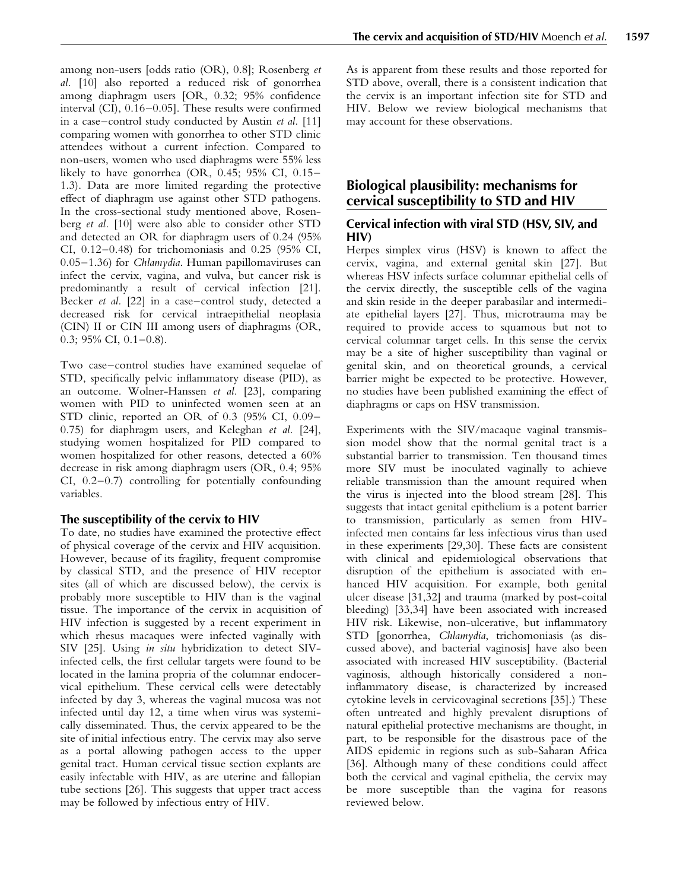among non-users [odds ratio (OR), 0.8]; Rosenberg et al. [\[10\]](#page-6-0) also reported a reduced risk of gonorrhea among diaphragm users [OR, 0.32; 95% confidence interval (CI),  $0.16-0.05$ ]. These results were confirmed in a case $-$ control study conducted by Austin et al. [\[11\]](#page-6-0) comparing women with gonorrhea to other STD clinic attendees without a current infection. Compared to non-users, women who used diaphragms were 55% less likely to have gonorrhea (OR, 0.45; 95% CI, 0.15 $-$ 1.3). Data are more limited regarding the protective effect of diaphragm use against other STD pathogens. In the cross-sectional study mentioned above, Rosenberg et al. [\[10\]](#page-6-0) were also able to consider other STD and detected an OR for diaphragm users of 0.24 (95% CI,  $0.12-0.48$ ) for trichomoniasis and  $0.25$  (95% CI,  $0.05-1.36$ ) for *Chlamydia*. Human papillomaviruses can infect the cervix, vagina, and vulva, but cancer risk is predominantly a result of cervical infection [\[21\]](#page-6-0). Becker et al. [\[22\]](#page-6-0) in a case-control study, detected a decreased risk for cervical intraepithelial neoplasia (CIN) II or CIN III among users of diaphragms (OR, 0.3; 95% CI, 0.1 $-0.8$ ).

Two case-control studies have examined sequelae of STD, specifically pelvic inflammatory disease (PID), as an outcome. Wolner-Hanssen et al. [\[23\],](#page-6-0) comparing women with PID to uninfected women seen at an STD clinic, reported an OR of  $0.3$  (95% CI,  $0.09-$ 0.75) for diaphragm users, and Keleghan et al. [\[24\]](#page-6-0), studying women hospitalized for PID compared to women hospitalized for other reasons, detected a 60% decrease in risk among diaphragm users (OR, 0.4; 95% CI,  $0.2-0.7$ ) controlling for potentially confounding variables.

#### The susceptibility of the cervix to HIV

To date, no studies have examined the protective effect of physical coverage of the cervix and HIV acquisition. However, because of its fragility, frequent compromise by classical STD, and the presence of HIV receptor sites (all of which are discussed below), the cervix is probably more susceptible to HIV than is the vaginal tissue. The importance of the cervix in acquisition of HIV infection is suggested by a recent experiment in which rhesus macaques were infected vaginally with SIV [\[25\]](#page-6-0). Using in situ hybridization to detect SIVinfected cells, the first cellular targets were found to be located in the lamina propria of the columnar endocervical epithelium. These cervical cells were detectably infected by day 3, whereas the vaginal mucosa was not infected until day 12, a time when virus was systemically disseminated. Thus, the cervix appeared to be the site of initial infectious entry. The cervix may also serve as a portal allowing pathogen access to the upper genital tract. Human cervical tissue section explants are easily infectable with HIV, as are uterine and fallopian tube sections [\[26\]](#page-6-0). This suggests that upper tract access may be followed by infectious entry of HIV.

As is apparent from these results and those reported for STD above, overall, there is a consistent indication that the cervix is an important infection site for STD and HIV. Below we review biological mechanisms that may account for these observations.

# Biological plausibility: mechanisms for cervical susceptibility to STD and HIV

#### Cervical infection with viral STD (HSV, SIV, and HIV)

Herpes simplex virus (HSV) is known to affect the cervix, vagina, and external genital skin [\[27\]](#page-6-0). But whereas HSV infects surface columnar epithelial cells of the cervix directly, the susceptible cells of the vagina and skin reside in the deeper parabasilar and intermediate epithelial layers [\[27\]](#page-6-0). Thus, microtrauma may be required to provide access to squamous but not to cervical columnar target cells. In this sense the cervix may be a site of higher susceptibility than vaginal or genital skin, and on theoretical grounds, a cervical barrier might be expected to be protective. However, no studies have been published examining the effect of diaphragms or caps on HSV transmission.

Experiments with the SIV/macaque vaginal transmission model show that the normal genital tract is a substantial barrier to transmission. Ten thousand times more SIV must be inoculated vaginally to achieve reliable transmission than the amount required when the virus is injected into the blood stream [\[28\]](#page-6-0). This suggests that intact genital epithelium is a potent barrier to transmission, particularly as semen from HIVinfected men contains far less infectious virus than used in these experiments [\[29,30\]](#page-6-0). These facts are consistent with clinical and epidemiological observations that disruption of the epithelium is associated with enhanced HIV acquisition. For example, both genital ulcer disease [\[31,32\]](#page-6-0) and trauma (marked by post-coital bleeding) [\[33,34\]](#page-6-0) have been associated with increased HIV risk. Likewise, non-ulcerative, but inflammatory STD [gonorrhea, Chlamydia, trichomoniasis (as discussed above), and bacterial vaginosis] have also been associated with increased HIV susceptibility. (Bacterial vaginosis, although historically considered a noninflammatory disease, is characterized by increased cytokine levels in cervicovaginal secretions [\[35\]](#page-6-0).) These often untreated and highly prevalent disruptions of natural epithelial protective mechanisms are thought, in part, to be responsible for the disastrous pace of the AIDS epidemic in regions such as sub-Saharan Africa [\[36\]](#page-6-0). Although many of these conditions could affect both the cervical and vaginal epithelia, the cervix may be more susceptible than the vagina for reasons reviewed below.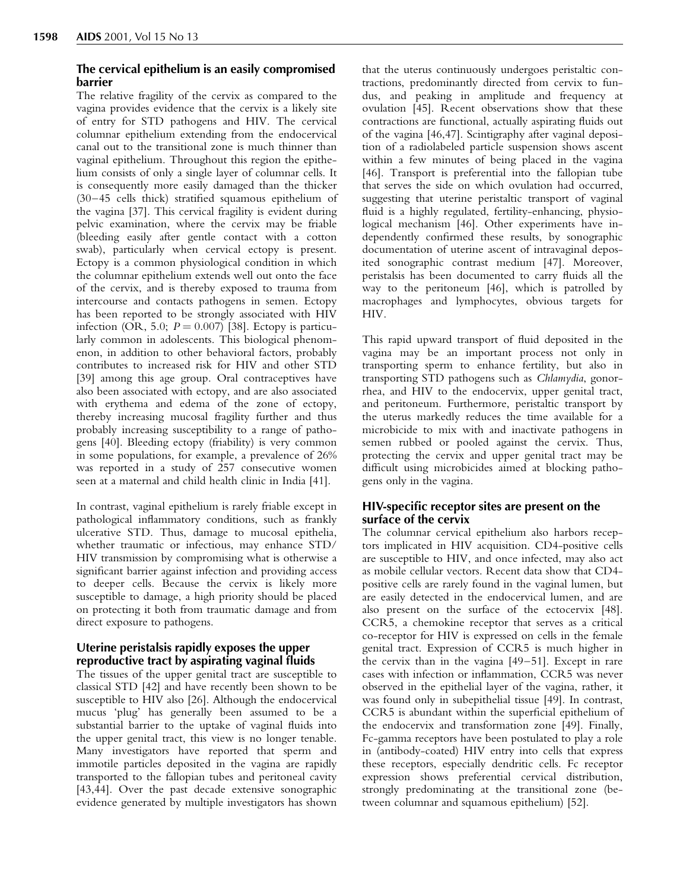#### The cervical epithelium is an easily compromised barrier

The relative fragility of the cervix as compared to the vagina provides evidence that the cervix is a likely site of entry for STD pathogens and HIV. The cervical columnar epithelium extending from the endocervical canal out to the transitional zone is much thinner than vaginal epithelium. Throughout this region the epithelium consists of only a single layer of columnar cells. It is consequently more easily damaged than the thicker  $(30-45 \text{ cells thick})$  stratified squamous epithelium of the vagina [\[37\]](#page-6-0). This cervical fragility is evident during pelvic examination, where the cervix may be friable (bleeding easily after gentle contact with a cotton swab), particularly when cervical ectopy is present. Ectopy is a common physiological condition in which the columnar epithelium extends well out onto the face of the cervix, and is thereby exposed to trauma from intercourse and contacts pathogens in semen. Ectopy has been reported to be strongly associated with HIV infection (OR, 5.0;  $P = 0.007$ ) [\[38\]](#page-6-0). Ectopy is particularly common in adolescents. This biological phenomenon, in addition to other behavioral factors, probably contributes to increased risk for HIV and other STD [\[39\]](#page-6-0) among this age group. Oral contraceptives have also been associated with ectopy, and are also associated with erythema and edema of the zone of ectopy, thereby increasing mucosal fragility further and thus probably increasing susceptibility to a range of pathogens [\[40\]](#page-6-0). Bleeding ectopy (friability) is very common in some populations, for example, a prevalence of 26% was reported in a study of 257 consecutive women seen at a maternal and child health clinic in India [\[41\]](#page-6-0).

In contrast, vaginal epithelium is rarely friable except in pathological inflammatory conditions, such as frankly ulcerative STD. Thus, damage to mucosal epithelia, whether traumatic or infectious, may enhance STD/ HIV transmission by compromising what is otherwise a significant barrier against infection and providing access to deeper cells. Because the cervix is likely more susceptible to damage, a high priority should be placed on protecting it both from traumatic damage and from direct exposure to pathogens.

#### Uterine peristalsis rapidly exposes the upper reproductive tract by aspirating vaginal fluids

The tissues of the upper genital tract are susceptible to classical STD [\[42\]](#page-6-0) and have recently been shown to be susceptible to HIV also [\[26\].](#page-6-0) Although the endocervical mucus `plug' has generally been assumed to be a substantial barrier to the uptake of vaginal fluids into the upper genital tract, this view is no longer tenable. Many investigators have reported that sperm and immotile particles deposited in the vagina are rapidly transported to the fallopian tubes and peritoneal cavity [\[43,44\]](#page-6-0). Over the past decade extensive sonographic evidence generated by multiple investigators has shown

that the uterus continuously undergoes peristaltic contractions, predominantly directed from cervix to fundus, and peaking in amplitude and frequency at ovulation [\[45\]](#page-6-0). Recent observations show that these contractions are functional, actually aspirating fluids out of the vagina [\[46,47\]](#page-6-0). Scintigraphy after vaginal deposition of a radiolabeled particle suspension shows ascent within a few minutes of being placed in the vagina [\[46\]](#page-6-0). Transport is preferential into the fallopian tube that serves the side on which ovulation had occurred, suggesting that uterine peristaltic transport of vaginal fluid is a highly regulated, fertility-enhancing, physiological mechanism [\[46\].](#page-6-0) Other experiments have independently confirmed these results, by sonographic documentation of uterine ascent of intravaginal deposited sonographic contrast medium [\[47\]](#page-6-0). Moreover, peristalsis has been documented to carry fluids all the way to the peritoneum [\[46\]](#page-6-0), which is patrolled by macrophages and lymphocytes, obvious targets for HIV.

This rapid upward transport of fluid deposited in the vagina may be an important process not only in transporting sperm to enhance fertility, but also in transporting STD pathogens such as Chlamydia, gonorrhea, and HIV to the endocervix, upper genital tract, and peritoneum. Furthermore, peristaltic transport by the uterus markedly reduces the time available for a microbicide to mix with and inactivate pathogens in semen rubbed or pooled against the cervix. Thus, protecting the cervix and upper genital tract may be difficult using microbicides aimed at blocking pathogens only in the vagina.

#### HIV-specific receptor sites are present on the surface of the cervix

The columnar cervical epithelium also harbors receptors implicated in HIV acquisition. CD4-positive cells are susceptible to HIV, and once infected, may also act as mobile cellular vectors. Recent data show that CD4 positive cells are rarely found in the vaginal lumen, but are easily detected in the endocervical lumen, and are also present on the surface of the ectocervix [\[48\].](#page-6-0) CCR5, a chemokine receptor that serves as a critical co-receptor for HIV is expressed on cells in the female genital tract. Expression of CCR5 is much higher in the cervix than in the vagina  $[49-51]$ . Except in rare cases with infection or inflammation, CCR5 was never observed in the epithelial layer of the vagina, rather, it was found only in subepithelial tissue [\[49\]](#page-6-0). In contrast, CCR5 is abundant within the superficial epithelium of the endocervix and transformation zone [\[49\]](#page-6-0). Finally, Fc-gamma receptors have been postulated to play a role in (antibody-coated) HIV entry into cells that express these receptors, especially dendritic cells. Fc receptor expression shows preferential cervical distribution, strongly predominating at the transitional zone (between columnar and squamous epithelium) [\[52\]](#page-6-0).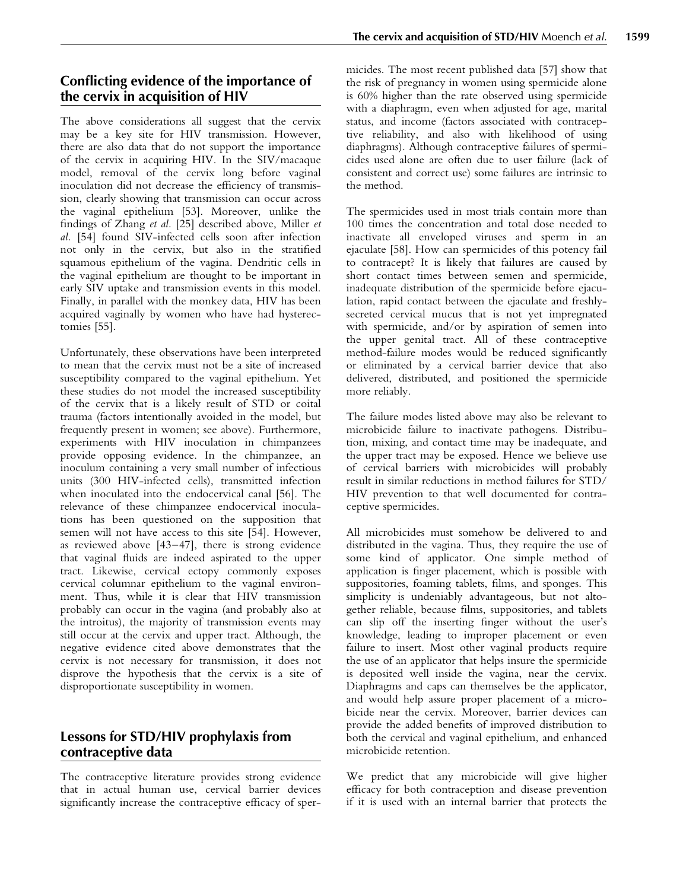# Conflicting evidence of the importance of the cervix in acquisition of HIV

The above considerations all suggest that the cervix may be a key site for HIV transmission. However, there are also data that do not support the importance of the cervix in acquiring HIV. In the SIV/macaque model, removal of the cervix long before vaginal inoculation did not decrease the efficiency of transmission, clearly showing that transmission can occur across the vaginal epithelium [\[53\]](#page-6-0). Moreover, unlike the findings of Zhang et al. [\[25\]](#page-6-0) described above, Miller et al. [\[54\]](#page-7-0) found SIV-infected cells soon after infection not only in the cervix, but also in the stratified squamous epithelium of the vagina. Dendritic cells in the vaginal epithelium are thought to be important in early SIV uptake and transmission events in this model. Finally, in parallel with the monkey data, HIV has been acquired vaginally by women who have had hysterectomies [\[55\]](#page-7-0).

Unfortunately, these observations have been interpreted to mean that the cervix must not be a site of increased susceptibility compared to the vaginal epithelium. Yet these studies do not model the increased susceptibility of the cervix that is a likely result of STD or coital trauma (factors intentionally avoided in the model, but frequently present in women; see above). Furthermore, experiments with HIV inoculation in chimpanzees provide opposing evidence. In the chimpanzee, an inoculum containing a very small number of infectious units (300 HIV-infected cells), transmitted infection when inoculated into the endocervical canal [\[56\]](#page-7-0). The relevance of these chimpanzee endocervical inoculations has been questioned on the supposition that semen will not have access to this site [\[54\]](#page-7-0). However, as reviewed above  $[43-47]$ , there is strong evidence that vaginal fluids are indeed aspirated to the upper tract. Likewise, cervical ectopy commonly exposes cervical columnar epithelium to the vaginal environment. Thus, while it is clear that HIV transmission probably can occur in the vagina (and probably also at the introitus), the majority of transmission events may still occur at the cervix and upper tract. Although, the negative evidence cited above demonstrates that the cervix is not necessary for transmission, it does not disprove the hypothesis that the cervix is a site of disproportionate susceptibility in women.

# Lessons for STD/HIV prophylaxis from contraceptive data

The contraceptive literature provides strong evidence that in actual human use, cervical barrier devices significantly increase the contraceptive efficacy of spermicides. The most recent published data [\[57\]](#page-7-0) show that the risk of pregnancy in women using spermicide alone is 60% higher than the rate observed using spermicide with a diaphragm, even when adjusted for age, marital status, and income (factors associated with contraceptive reliability, and also with likelihood of using diaphragms). Although contraceptive failures of spermicides used alone are often due to user failure (lack of consistent and correct use) some failures are intrinsic to the method.

The spermicides used in most trials contain more than 100 times the concentration and total dose needed to inactivate all enveloped viruses and sperm in an ejaculate [\[58\]](#page-7-0). How can spermicides of this potency fail to contracept? It is likely that failures are caused by short contact times between semen and spermicide, inadequate distribution of the spermicide before ejaculation, rapid contact between the ejaculate and freshlysecreted cervical mucus that is not yet impregnated with spermicide, and/or by aspiration of semen into the upper genital tract. All of these contraceptive method-failure modes would be reduced significantly or eliminated by a cervical barrier device that also delivered, distributed, and positioned the spermicide more reliably.

The failure modes listed above may also be relevant to microbicide failure to inactivate pathogens. Distribution, mixing, and contact time may be inadequate, and the upper tract may be exposed. Hence we believe use of cervical barriers with microbicides will probably result in similar reductions in method failures for STD/ HIV prevention to that well documented for contraceptive spermicides.

All microbicides must somehow be delivered to and distributed in the vagina. Thus, they require the use of some kind of applicator. One simple method of application is finger placement, which is possible with suppositories, foaming tablets, films, and sponges. This simplicity is undeniably advantageous, but not altogether reliable, because films, suppositories, and tablets can slip off the inserting finger without the user's knowledge, leading to improper placement or even failure to insert. Most other vaginal products require the use of an applicator that helps insure the spermicide is deposited well inside the vagina, near the cervix. Diaphragms and caps can themselves be the applicator, and would help assure proper placement of a microbicide near the cervix. Moreover, barrier devices can provide the added benefits of improved distribution to both the cervical and vaginal epithelium, and enhanced microbicide retention.

We predict that any microbicide will give higher efficacy for both contraception and disease prevention if it is used with an internal barrier that protects the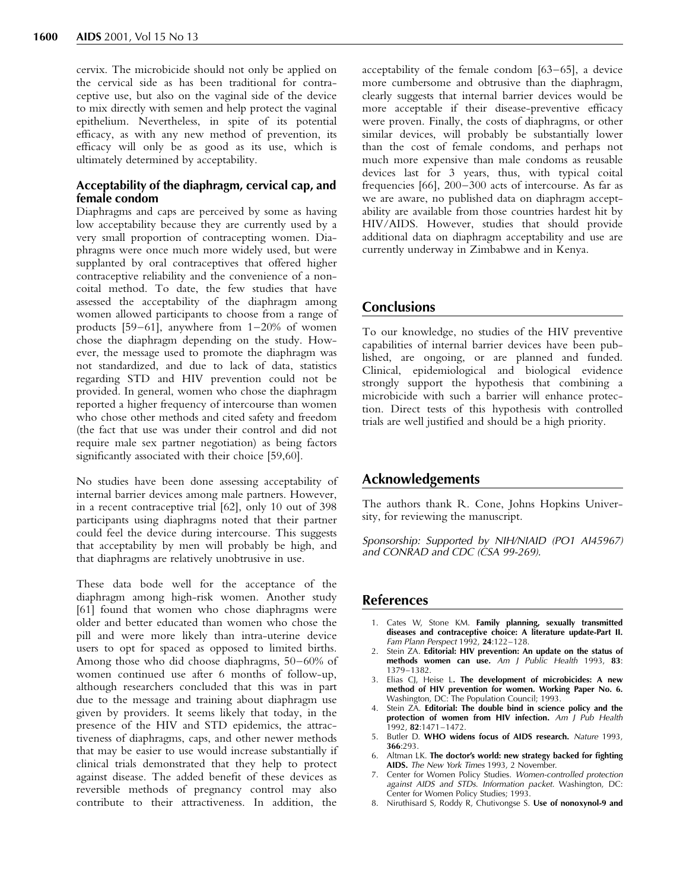<span id="page-5-0"></span>cervix. The microbicide should not only be applied on the cervical side as has been traditional for contraceptive use, but also on the vaginal side of the device to mix directly with semen and help protect the vaginal epithelium. Nevertheless, in spite of its potential efficacy, as with any new method of prevention, its efficacy will only be as good as its use, which is ultimately determined by acceptability.

#### Acceptability of the diaphragm, cervical cap, and female condom

Diaphragms and caps are perceived by some as having low acceptability because they are currently used by a very small proportion of contracepting women. Diaphragms were once much more widely used, but were supplanted by oral contraceptives that offered higher contraceptive reliability and the convenience of a noncoital method. To date, the few studies that have assessed the acceptability of the diaphragm among women allowed participants to choose from a range of products  $[59-61]$ , anywhere from  $1-20%$  of women chose the diaphragm depending on the study. However, the message used to promote the diaphragm was not standardized, and due to lack of data, statistics regarding STD and HIV prevention could not be provided. In general, women who chose the diaphragm reported a higher frequency of intercourse than women who chose other methods and cited safety and freedom (the fact that use was under their control and did not require male sex partner negotiation) as being factors significantly associated with their choice [\[59,60\]](#page-7-0).

No studies have been done assessing acceptability of internal barrier devices among male partners. However, in a recent contraceptive trial [\[62\]](#page-7-0), only 10 out of 398 participants using diaphragms noted that their partner could feel the device during intercourse. This suggests that acceptability by men will probably be high, and that diaphragms are relatively unobtrusive in use.

These data bode well for the acceptance of the diaphragm among high-risk women. Another study [\[61\]](#page-7-0) found that women who chose diaphragms were older and better educated than women who chose the pill and were more likely than intra-uterine device users to opt for spaced as opposed to limited births. Among those who did choose diaphragms,  $50-60\%$  of women continued use after 6 months of follow-up, although researchers concluded that this was in part due to the message and training about diaphragm use given by providers. It seems likely that today, in the presence of the HIV and STD epidemics, the attractiveness of diaphragms, caps, and other newer methods that may be easier to use would increase substantially if clinical trials demonstrated that they help to protect against disease. The added benefit of these devices as reversible methods of pregnancy control may also contribute to their attractiveness. In addition, the

acceptability of the female condom  $[63-65]$ , a device more cumbersome and obtrusive than the diaphragm, clearly suggests that internal barrier devices would be more acceptable if their disease-preventive efficacy were proven. Finally, the costs of diaphragms, or other similar devices, will probably be substantially lower than the cost of female condoms, and perhaps not much more expensive than male condoms as reusable devices last for 3 years, thus, with typical coital frequencies  $[66]$ ,  $200-300$  acts of intercourse. As far as we are aware, no published data on diaphragm acceptability are available from those countries hardest hit by HIV/AIDS. However, studies that should provide additional data on diaphragm acceptability and use are currently underway in Zimbabwe and in Kenya.

#### **Conclusions**

To our knowledge, no studies of the HIV preventive capabilities of internal barrier devices have been published, are ongoing, or are planned and funded. Clinical, epidemiological and biological evidence strongly support the hypothesis that combining a microbicide with such a barrier will enhance protection. Direct tests of this hypothesis with controlled trials are well justified and should be a high priority.

#### Acknowledgements

The authors thank R. Cone, Johns Hopkins University, for reviewing the manuscript.

Sponsorship: Supported by NIH/NIAID (PO1 AI45967) and CONRAD and CDC (CSA 99-269).

### References

- 1. Cates W, Stone KM. Family planning, sexually transmitted diseases and contraceptive choice: A literature update-Part II. Fam Plann Perspect 1992, 24:122-128.
- 2. Stein ZA. Editorial: HIV prevention: An update on the status of methods women can use. Am J Public Health 1993, 83: 1379±1382.
- 3. Elias CL Heise L. The development of microbicides: A new method of HIV prevention for women. Working Paper No. 6. Washington, DC: The Population Council; 1993.
- 4. Stein ZA. Editorial: The double bind in science policy and the protection of women from HIV infection.  $Am + P$ ub Health 1992, 82:1471-1472.
- 5. Butler D. WHO widens focus of AIDS research. Nature 1993, 366:293.
- 6. Altman LK. The doctor's world: new strategy backed for fighting AIDS. The New York Times 1993, 2 November.
- 7. Center for Women Policy Studies. Women-controlled protection against AIDS and STDs. Information packet. Washington, DC: Center for Women Policy Studies; 1993.
- 8. Niruthisard S, Roddy R, Chutivongse S. Use of nonoxynol-9 and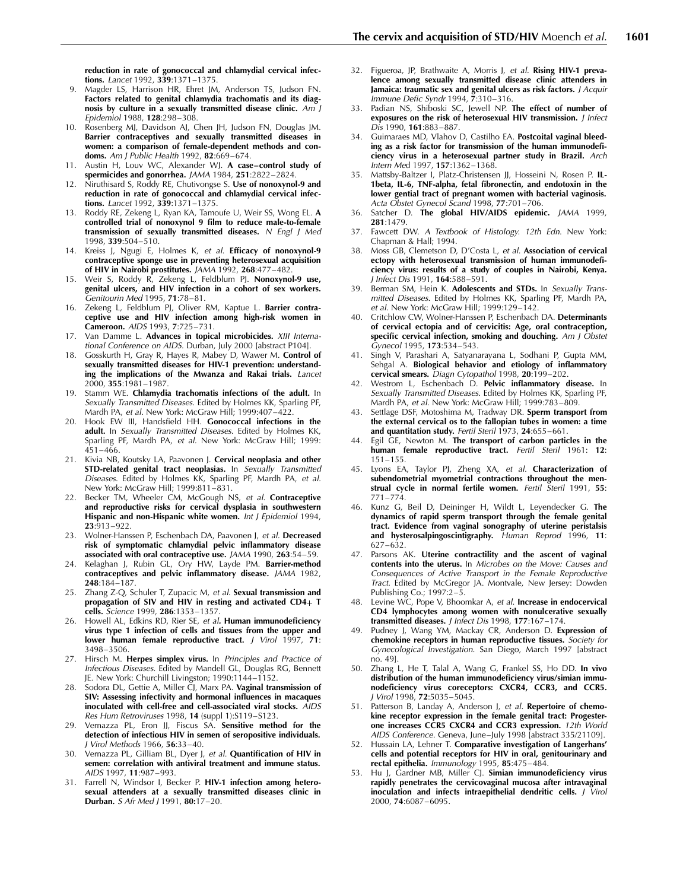<span id="page-6-0"></span>reduction in rate of gonococcal and chlamydial cervical infections. Lancet 1992,  $339:1371-1375$ .

- 9. Magder LS, Harrison HR, Ehret JM, Anderson TS, Judson FN. Factors related to genital chlamydia trachomatis and its diagnosis by culture in a sexually transmitted disease clinic. Am J Epidemiol 1988, 128:298-308.
- 10. Rosenberg MJ, Davidson AJ, Chen JH, Judson FN, Douglas JM. Barrier contraceptives and sexually transmitted diseases in women: a comparison of female-dependent methods and condoms. Am J Public Health 1992, 82:669-674.
- 11. Austin H, Louv WC, Alexander WJ. A case-control study of spermicides and gonorrhea. JAMA 1984, 251:2822-2824.
- 12. Niruthisard S, Roddy RE, Chutivongse S. Use of nonoxynol-9 and reduction in rate of gonococcal and chlamydial cervical infections. Lancet 1992,  $3\overline{3}9:1371-1375$ .
- Roddy RE, Zekeng L, Ryan KA, Tamoufe U, Weir SS, Wong EL. A controlled trial of nonoxynol 9 film to reduce male-to-female transmission of sexually transmitted diseases.  $N$  Engl J Med 1998, 339:504-510.
- 14. Kreiss J, Ngugi E, Holmes K, et al. Efficacy of nonoxynol-9 contraceptive sponge use in preventing heterosexual acquisition of HIV in Nairobi prostitutes. JAMA 1992, 268:477-482.
- 15. Weir S, Roddy R, Zekeng L, Feldblum PJ. Nonoxynol-9 use, genital ulcers, and HIV infection in a cohort of sex workers. Genitourin Med 1995, 71:78-81.
- Zekeng L, Feldblum PJ, Oliver RM, Kaptue L. Barrier contraceptive use and HIV infection among high-risk women in Cameroon. AIDS 1993, 7:725-731.
- 17. Van Damme L. Advances in topical microbicides. XIII International Conference on AIDS. Durban, July 2000 [abstract P104].
- 18. Gosskurth H, Gray R, Hayes R, Mabey D, Wawer M. Control of sexually transmitted diseases for HIV-1 prevention: understanding the implications of the Mwanza and Rakai trials. Lancet 2000, 355:1981±1987.
- 19. Stamm WE. Chlamydia trachomatis infections of the adult. In Sexually Transmitted Diseases. Edited by Holmes KK, Sparling PF, Mardh PA, et al. New York: McGraw Hill; 1999:407-422.
- 20. Hook EW III, Handsfield HH. Gonococcal infections in the adult. In Sexually Transmitted Diseases. Edited by Holmes KK, Sparling PF, Mardh PA, et al. New York: McGraw Hill; 1999: 451±466.
- 21. Kivia NB, Koutsky LA, Paavonen J. Cervical neoplasia and other STD-related genital tract neoplasias. In Sexually Transmitted Diseases. Edited by Holmes KK, Sparling PF, Mardh PA, et al. New York: McGraw Hill; 1999:811-831.
- 22. Becker TM, Wheeler CM, McGough NS, et al. Contraceptive and reproductive risks for cervical dysplasia in southwestern Hispanic and non-Hispanic white women. Int J Epidemiol 1994, 23:913±922.
- 23. Wolner-Hanssen P, Eschenbach DA, Paavonen J, et al. Decreased risk of symptomatic chlamydial pelvic inflammatory disease associated with oral contraceptive use. JAMA 1990, 263:54-59.
- 24. Kelaghan J, Rubin GL, Ory HW, Layde PM. **Barrier-method** contraceptives and pelvic inflammatory disease. JAMA 1982, 248:184±187.
- 25. Zhang Z-Q, Schuler T, Zupacic M, et al. Sexual transmission and propagation of SIV and HIV in resting and activated CD4+ T **cells.** Science 1999, 286:1353–1357
- 26. Howell AL, Edkins RD, Rier SE, et al. Human immunodeficiency virus type 1 infection of cells and tissues from the upper and lower human female reproductive tract. J Virol 1997, 71: 3498±3506.
- 27. Hirsch M. Herpes simplex virus. In Principles and Practice of Infectious Diseases. Edited by Mandell GL, Douglas RG, Bennett JE. New York: Churchill Livingston; 1990:1144-1152.
- 28. Sodora DL, Gettie A, Miller CJ, Marx PA. Vaginal transmission of SIV: Assessing infectivity and hormonal influences in macaques inoculated with cell-free and cell-associated viral stocks. AIDS Res Hum Retroviruses 1998, 14 (suppl 1):S119-S123.
- 29. Vernazza PL, Eron JJ, Fiscus SA. Sensitive method for the detection of infectious HIV in semen of seropositive individuals. J Virol Methods 1966, 56:33-40.
- 30. Vernazza PL, Gilliam BL, Dyer J, et al. Quantification of HIV in semen: correlation with antiviral treatment and immune status. AIDS 1997, 11:987-993.
- 31. Farrell N, Windsor I, Becker P. HIV-1 infection among heterosexual attenders at a sexually transmitted diseases clinic in Durban. S Afr Med J 1991,  $80:17-20$ .
- 32. Figueroa, JP, Brathwaite A, Morris J, et al. Rising HIV-1 prevalence among sexually transmitted disease clinic attenders in Jamaica: traumatic sex and genital ulcers as risk factors. J Acquir Immune Defic Syndr 1994, 7:310-316.
- 33. Padian NS, Shiboski SC, Jewell NP. The effect of number of exposures on the risk of heterosexual HIV transmission. J Infect Dis 1990, 161:883-887.
- 34. Guimaraes MD, Vlahov D, Castilho EA. Postcoital vaginal bleeding as a risk factor for transmission of the human immunodeficiency virus in a heterosexual partner study in Brazil. Arch Intern Med 1997, 157:1362-1368.
- 35. Mattsby-Baltzer I, Platz-Christensen JJ, Hosseini N, Rosen P. IL-1beta, IL-6, TNF-alpha, fetal fibronectin, and endotoxin in the lower gential tract of pregnant women with bacterial vaginosis. Acta Obstet Gynecol Scand 1998, 77:701-706.
- 36. Satcher D. The global HIV/AIDS epidemic. JAMA 1999, 281:1479.
- 37. Fawcett DW. A Textbook of Histology. 12th Edn. New York: Chapman & Hall; 1994.
- 38. Moss GB, Clemetson D, D'Costa L, et al. Association of cervical ectopy with heterosexual transmission of human immunodeficiency virus: results of a study of couples in Nairobi, Kenya. J Infect Dis 1991, 164:588-591.
- 39. Berman SM, Hein K. Adolescents and STDs. In Sexually Transmitted Diseases. Edited by Holmes KK, Sparling PF, Mardh PA, et al. New York: McGraw Hill; 1999:129-142.
- Critchlow CW, Wolner-Hanssen P, Eschenbach DA. Determinants of cervical ectopia and of cervicitis: Age, oral contraception, specific cervical infection, smoking and douching.  $Am / Obstet$ Gynecol 1995, 173:534-543.
- 41. Singh V, Parashari A, Satyanarayana L, Sodhani P, Gupta MM, Sehgal A. Biological behavior and etiology of inflammatory cervical smears. Diagn Cytopathol 1998, 20:199-202.
- 42. Westrom L, Eschenbach D. Pelvic inflammatory disease. In Sexually Transmitted Diseases. Edited by Holmes KK, Sparling PF, Mardh PA, et al. New York: McGraw Hill; 1999:783-809.
- Settlage DSF, Motoshima M, Tradway DR. Sperm transport from the external cervical os to the fallopian tubes in women: a time and quantitation study. Fertil Steril 1973, 24:655-661
- 44. Egil GE, Newton M. The transport of carbon particles in the human female reproductive tract. Fertil Steril 1961: 12: 151±155.
- 45. Lyons EA, Taylor PJ, Zheng XA, et al. Characterization of subendometrial myometrial contractions throughout the menstrual cycle in normal fertile women. Fertil Steril 1991, 55: 771±774.
- 46. Kunz G, Beil D, Deininger H, Wildt L, Leyendecker G. The dynamics of rapid sperm transport through the female genital tract. Evidence from vaginal sonography of uterine peristalsis and hysterosalpingoscintigraphy. Human Reprod 1996, 11: 627±632.
- 47. Parsons AK. Uterine contractility and the ascent of vaginal contents into the uterus. In Microbes on the Move: Causes and Consequences of Active Transport in the Female Reproductive Tract. Edited by McGregor JA. Montvale, New Jersey: Dowden Publishing Co.; 1997:2-5.
- Levine WC, Pope V, Bhoomkar A, et al. Increase in endocervical CD4 lymphocytes among women with nonulcerative sexually transmitted diseases. J Infect Dis 1998, 177:167-174.
- 49. Pudney J, Wang YM, Mackay CR, Anderson D. Expression of chemokine receptors in human reproductive tissues. Society for Gynecological Investigation. San Diego, March 1997 [abstract no. 49].
- 50. Zhang L, He T, Talal A, Wang G, Frankel SS, Ho DD. In vivo distribution of the human immunodeficiency virus/simian immunodeficiency virus coreceptors: CXCR4, CCR3, and CCR5. J Virol 1998, 72:5035-5045.
- 51. Patterson B, Landay A, Anderson J, et al. Repertoire of chemokine receptor expression in the female genital tract: Progesterone increases CCR5 CXCR4 and CCR3 expression. 12th World AIDS Conference. Geneva, June-July 1998 [abstract 335/21109].
- 52. Hussain LA, Lehner T. Comparative investigation of Langerhans' cells and potential receptors for HIV in oral, genitourinary and rectal epithelia. Immunology 1995, 85:475-484.
- 53. Hu J, Gardner MB, Miller CJ. Simian immunodeficiency virus rapidly penetrates the cervicovaginal mucosa after intravaginal inoculation and infects intraepithelial dendritic cells. *J Virol* 2000, 74:6087±6095.